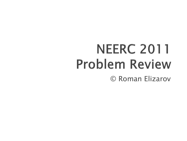# **NEERC 2011 Problem Review** © Roman Elizarov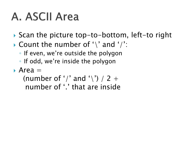# A. ASCII Area

- ▶ Scan the picture top-to-bottom, left-to right
- $\blacktriangleright$  Count the number of '\' and '/':
	- If even, we"re outside the polygon
	- If odd, we"re inside the polygon
- $\blacktriangleright$  Area  $=$

(number of '/' and '\') / 2 + number of '.' that are inside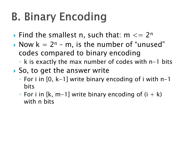# **B. Binary Encoding**

- Find the smallest n, such that:  $m \leq 2^n$
- Now  $k = 2^n m$ , is the number of "unused" codes compared to binary encoding
	- k is exactly the max number of codes with n-1 bits
- ▶ So, to get the answer write
	- For i in [0, k-1] write binary encoding of i with n-1 bits
	- $\circ$  For i in [k, m-1] write binary encoding of (i  $+$  k) with n bits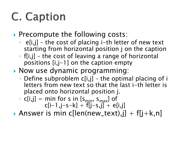# **C. Caption**

#### **Precompute the following costs:**

- e[i,j] the cost of placing i-th letter of new text starting from horizontal position j on the caption
- f[i,j] the cost of leaving a range of horizontal positions [i,j-1] on the caption empty
- ▶ Now use dynamic programming:
	- Define subproblem c[i,j] the optimal placing of i letters from new text so that the last i-th letter is placed onto horizontal position j.
	- $\circ$  c[i,j] = min for s in [s<sub>min</sub>, s<sub>max</sub>] of  $c[i-1,j-s-k] + f[i-s,j] + e[i,j]$
- Answer is min c[len(new\_text),j] + f[j+k,n]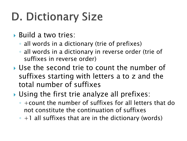# **D. Dictionary Size**

- ▶ Build a two tries:
	- all words in a dictionary (trie of prefixes)
	- all words in a dictionary in reverse order (trie of suffixes in reverse order)
- Use the second trie to count the number of suffixes starting with letters a to z and the total number of suffixes
- ▶ Using the first trie analyze all prefixes:
	- +count the number of suffixes for all letters that do not constitute the continuation of suffixes
	- +1 all suffixes that are in the dictionary (words)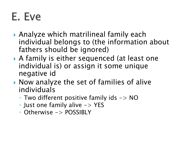## E. Eve

- Analyze which matrilineal family each individual belongs to (the information about fathers should be ignored)
- A family is either sequenced (at least one individual is) or assign it some unique negative id
- ▶ Now analyze the set of families of alive individuals
	- Two different positive family ids -> NO
	- Just one family alive -> YES
	- Otherwise -> POSSIBLY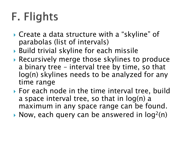# **F. Flights**

- ▶ Create a data structure with a "skyline" of parabolas (list of intervals)
- ▶ Build trivial skyline for each missile
- Recursively merge those skylines to produce a binary tree – interval tree by time, so that log(n) skylines needs to be analyzed for any time range
- ▶ For each node in the time interval tree, build a space interval tree, so that in log(n) a maximum in any space range can be found.
- Now, each query can be answered in  $log<sup>2</sup>(n)$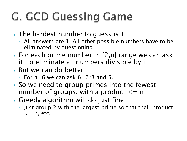# **G. GCD Guessing Game**

- ▶ The hardest number to guess is 1
	- All answers are 1. All other possible numbers have to be eliminated by questioning
- ▶ For each prime number in [2,n] range we can ask it, to eliminate all numbers divisible by it
- ▶ But we can do better
	- $\degree$  For n=6 we can ask 6=2\*3 and 5.
- ▶ So we need to group primes into the fewest number of groups, with a product  $\leq$  = n
- Greedy algorithm will do just fine
	- Just group 2 with the largest prime so that their product  $\epsilon$  = n, etc.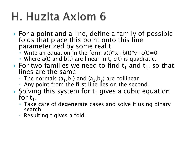## H. Huzita Axiom 6

- ▶ For a point and a line, define a family of possible folds that place this point onto this line parameterized by some real t.
	- Write an equation in the form  $a(t)^*x+b(t)^*y+c(t)=0$
	- Where a(t) and b(t) are linear in t, c(t) is quadratic.
- For two families we need to find  $t_1$  and  $t_2$ , so that lines are the same
	- $\circ$  The normals (a<sub>1</sub>,b<sub>1</sub>) and (a<sub>2</sub>,b<sub>2</sub>) are collinear
	- Any point from the first line lies on the second.
- Solving this system for  $t_1$  gives a cubic equation for  $t_1$ .
	- Take care of degenerate cases and solve it using binary search
	- Resulting t gives a fold.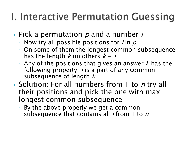## **I. Interactive Permutation Guessing**

- $\triangleright$  Pick a permutation  $p$  and a number i
	- $\circ$  Now try all possible positions for *i* in  $p$
	- On some of them the longest common subsequence has the length  $k$  on others  $k - 1$
	- Any of the positions that gives an answer k has the following property:  $i$  is a part of any common subsequence of length  $k$
- ▶ Solution: For all numbers from 1 to *n* try all their positions and pick the one with max longest common subsequence
	- By the above properly we get a common subsequence that contains all *i* from 1 to  $n$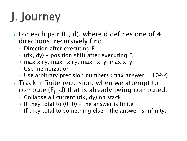# J. Journey

- For each pair  $(F_i, d)$ , where d defines one of 4 directions, recursively find:
	- Direction after executing F<sup>i</sup>
	- $\bullet$  (dx, dy) position shift after executing F<sub>i</sub>
	- $\circ$  max x+y, max –x+y, max –x–y, max x–y
	- Use memoization
	- Use arbitrary precision numbers (max answer  $= 10^{200}$ )
- ▶ Track infinite recursion, when we attempt to compute  $(F_i, d)$  that is already being computed:
	- Collapse all current (dx, dy) on stack
	- $\circ$  If they total to  $(0, 0)$  the answer is finite
	- If they total to something else the answer is Infinity.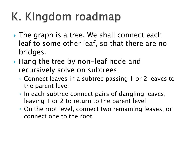# K. Kingdom roadmap

- $\rightarrow$  The graph is a tree. We shall connect each leaf to some other leaf, so that there are no bridges.
- ▶ Hang the tree by non-leaf node and recursively solve on subtrees:
	- Connect leaves in a subtree passing 1 or 2 leaves to the parent level
	- In each subtree connect pairs of dangling leaves, leaving 1 or 2 to return to the parent level
	- On the root level, connect two remaining leaves, or connect one to the root